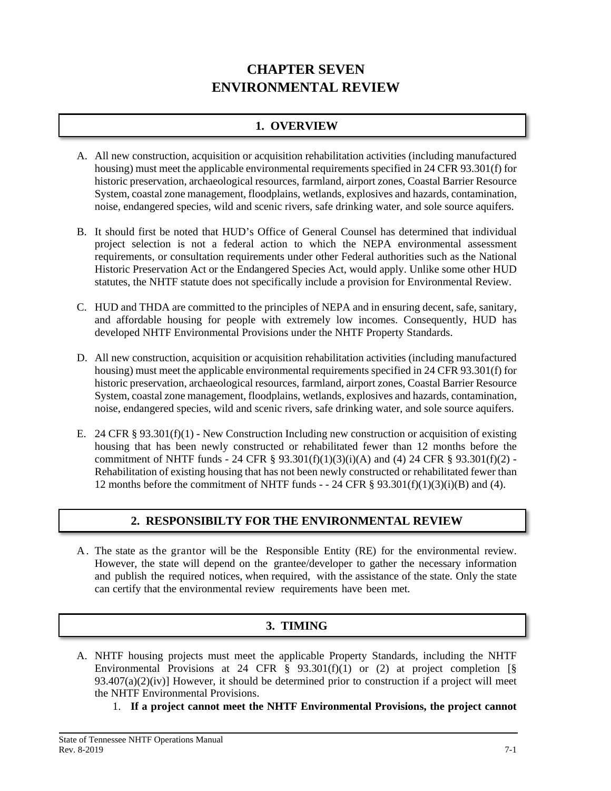# **CHAPTER SEVEN ENVIRONMENTAL REVIEW**

## **1. OVERVIEW**

- A. All new construction, acquisition or acquisition rehabilitation activities (including manufactured housing) must meet the applicable environmental requirements specified in 24 CFR 93.301(f) for historic preservation, archaeological resources, farmland, airport zones, Coastal Barrier Resource System, coastal zone management, floodplains, wetlands, explosives and hazards, contamination, noise, endangered species, wild and scenic rivers, safe drinking water, and sole source aquifers.
- B. It should first be noted that HUD's Office of General Counsel has determined that individual project selection is not a federal action to which the NEPA environmental assessment requirements, or consultation requirements under other Federal authorities such as the National Historic Preservation Act or the Endangered Species Act, would apply. Unlike some other HUD statutes, the NHTF statute does not specifically include a provision for Environmental Review.
- C. HUD and THDA are committed to the principles of NEPA and in ensuring decent, safe, sanitary, and affordable housing for people with extremely low incomes. Consequently, HUD has developed NHTF Environmental Provisions under the NHTF Property Standards.
- D. All new construction, acquisition or acquisition rehabilitation activities (including manufactured housing) must meet the applicable environmental requirements specified in 24 CFR 93.301(f) for historic preservation, archaeological resources, farmland, airport zones, Coastal Barrier Resource System, coastal zone management, floodplains, wetlands, explosives and hazards, contamination, noise, endangered species, wild and scenic rivers, safe drinking water, and sole source aquifers.
- E. 24 CFR § 93.301(f)(1) New Construction Including new construction or acquisition of existing housing that has been newly constructed or rehabilitated fewer than 12 months before the commitment of NHTF funds - 24 CFR § 93.301(f)(1)(3)(i)(A) and (4) 24 CFR § 93.301(f)(2) -Rehabilitation of existing housing that has not been newly constructed or rehabilitated fewer than 12 months before the commitment of NHTF funds - - 24 CFR § 93.301(f)(1)(3)(i)(B) and (4).

### **2. RESPONSIBILTY FOR THE ENVIRONMENTAL REVIEW**

A . The state as the grantor will be the Responsible Entity (RE) for the environmental review. However, the state will depend on the grantee/developer to gather the necessary information and publish the required notices, when required, with the assistance of the state. Only the state can certify that the environmental review requirements have been met.

# **3. TIMING**

- A. NHTF housing projects must meet the applicable Property Standards, including the NHTF Environmental Provisions at 24 CFR  $\S$  93.301(f)(1) or (2) at project completion [ $\S$  $93.407(a)(2)(iv)$  However, it should be determined prior to construction if a project will meet the NHTF Environmental Provisions.
	- 1. **If a project cannot meet the NHTF Environmental Provisions, the project cannot**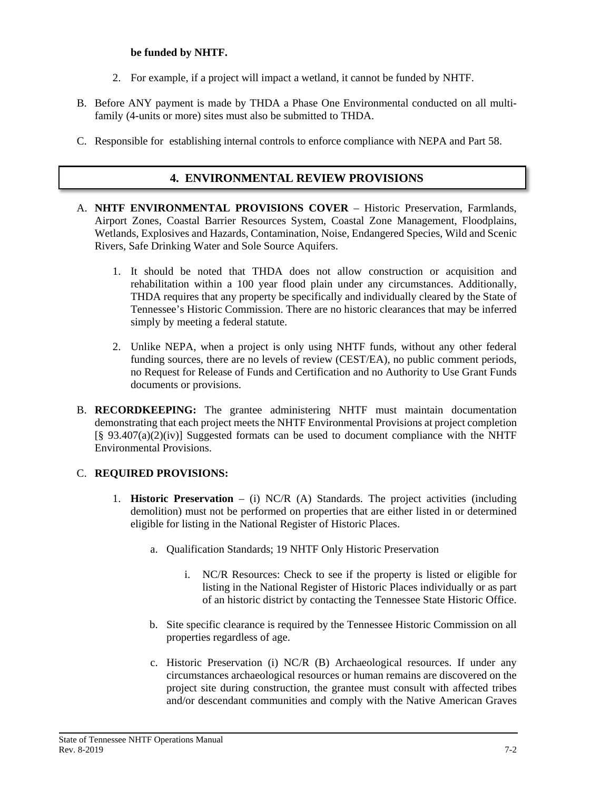### **be funded by NHTF.**

- 2. For example, if a project will impact a wetland, it cannot be funded by NHTF.
- B. Before ANY payment is made by THDA a Phase One Environmental conducted on all multifamily (4-units or more) sites must also be submitted to THDA.
- C. Responsible for establishing internal controls to enforce compliance with NEPA and Part 58.

### **4. ENVIRONMENTAL REVIEW PROVISIONS**

- A. **NHTF ENVIRONMENTAL PROVISIONS COVER** Historic Preservation, Farmlands, Airport Zones, Coastal Barrier Resources System, Coastal Zone Management, Floodplains, Wetlands, Explosives and Hazards, Contamination, Noise, Endangered Species, Wild and Scenic Rivers, Safe Drinking Water and Sole Source Aquifers.
	- 1. It should be noted that THDA does not allow construction or acquisition and rehabilitation within a 100 year flood plain under any circumstances. Additionally, THDA requires that any property be specifically and individually cleared by the State of Tennessee's Historic Commission. There are no historic clearances that may be inferred simply by meeting a federal statute.
	- 2. Unlike NEPA, when a project is only using NHTF funds, without any other federal funding sources, there are no levels of review (CEST/EA), no public comment periods, no Request for Release of Funds and Certification and no Authority to Use Grant Funds documents or provisions.
- B. **RECORDKEEPING:** The grantee administering NHTF must maintain documentation demonstrating that each project meets the NHTF Environmental Provisions at project completion  $[\S$  93.407(a)(2)(iv)] Suggested formats can be used to document compliance with the NHTF Environmental Provisions.

#### C. **REQUIRED PROVISIONS:**

- 1. **Historic Preservation** (i) NC/R (A) Standards. The project activities (including demolition) must not be performed on properties that are either listed in or determined eligible for listing in the National Register of Historic Places.
	- a. Qualification Standards; 19 NHTF Only Historic Preservation
		- i. NC/R Resources: Check to see if the property is listed or eligible for listing in the National Register of Historic Places individually or as part of an historic district by contacting the Tennessee State Historic Office.
	- b. Site specific clearance is required by the Tennessee Historic Commission on all properties regardless of age.
	- c. Historic Preservation (i) NC/R (B) Archaeological resources. If under any circumstances archaeological resources or human remains are discovered on the project site during construction, the grantee must consult with affected tribes and/or descendant communities and comply with the Native American Graves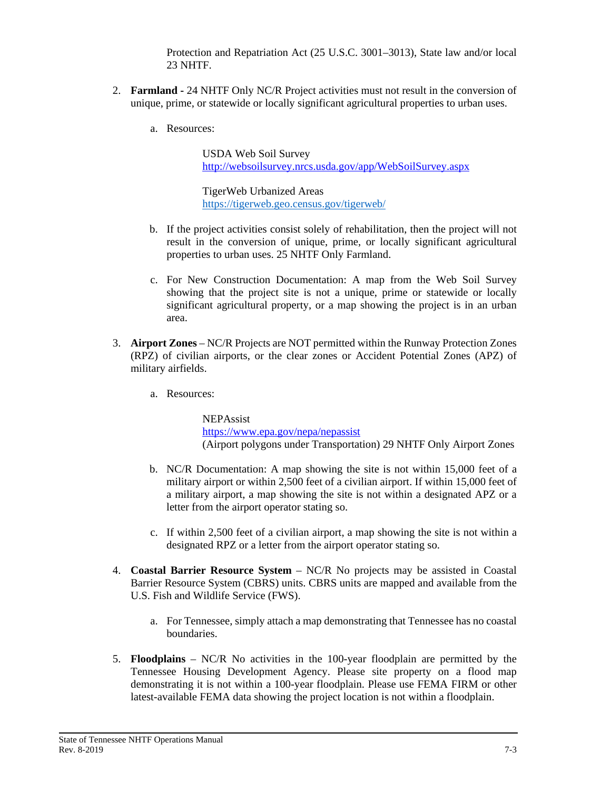Protection and Repatriation Act (25 U.S.C. 3001–3013), State law and/or local 23 NHTF.

- 2. **Farmland -** 24 NHTF Only NC/R Project activities must not result in the conversion of unique, prime, or statewide or locally significant agricultural properties to urban uses.
	- a. Resources:

USDA Web Soil Survey <http://websoilsurvey.nrcs.usda.gov/app/WebSoilSurvey.aspx>

TigerWeb Urbanized Areas <https://tigerweb.geo.census.gov/tigerweb/>

- b. If the project activities consist solely of rehabilitation, then the project will not result in the conversion of unique, prime, or locally significant agricultural properties to urban uses. 25 NHTF Only Farmland.
- c. For New Construction Documentation: A map from the Web Soil Survey showing that the project site is not a unique, prime or statewide or locally significant agricultural property, or a map showing the project is in an urban area.
- 3. **Airport Zones** NC/R Projects are NOT permitted within the Runway Protection Zones (RPZ) of civilian airports, or the clear zones or Accident Potential Zones (APZ) of military airfields.
	- a. Resources:

NEPAssist <https://www.epa.gov/nepa/nepassist> (Airport polygons under Transportation) 29 NHTF Only Airport Zones

- b. NC/R Documentation: A map showing the site is not within 15,000 feet of a military airport or within 2,500 feet of a civilian airport. If within 15,000 feet of a military airport, a map showing the site is not within a designated APZ or a letter from the airport operator stating so.
- c. If within 2,500 feet of a civilian airport, a map showing the site is not within a designated RPZ or a letter from the airport operator stating so.
- 4. **Coastal Barrier Resource System** NC/R No projects may be assisted in Coastal Barrier Resource System (CBRS) units. CBRS units are mapped and available from the U.S. Fish and Wildlife Service (FWS).
	- a. For Tennessee, simply attach a map demonstrating that Tennessee has no coastal boundaries.
- 5. **Floodplains** NC/R No activities in the 100-year floodplain are permitted by the Tennessee Housing Development Agency. Please site property on a flood map demonstrating it is not within a 100-year floodplain. Please use FEMA FIRM or other latest-available FEMA data showing the project location is not within a floodplain.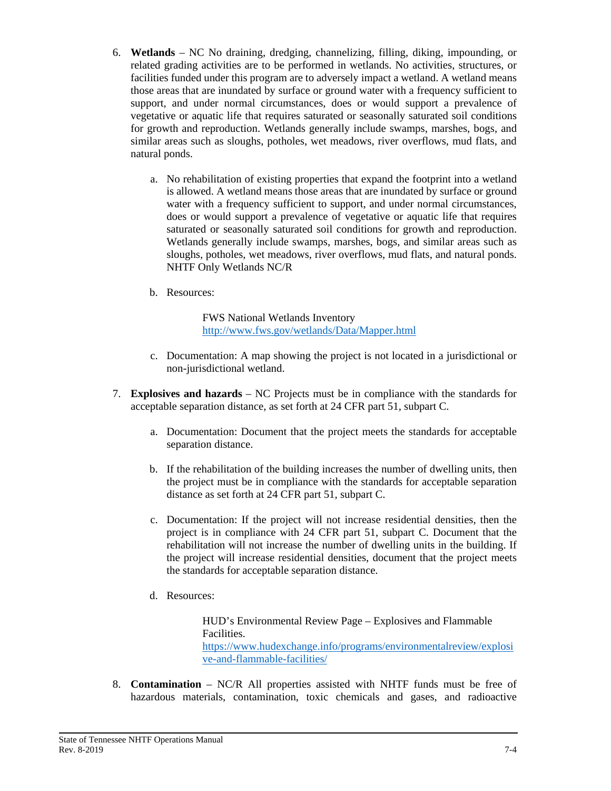- 6. **Wetlands** NC No draining, dredging, channelizing, filling, diking, impounding, or related grading activities are to be performed in wetlands. No activities, structures, or facilities funded under this program are to adversely impact a wetland. A wetland means those areas that are inundated by surface or ground water with a frequency sufficient to support, and under normal circumstances, does or would support a prevalence of vegetative or aquatic life that requires saturated or seasonally saturated soil conditions for growth and reproduction. Wetlands generally include swamps, marshes, bogs, and similar areas such as sloughs, potholes, wet meadows, river overflows, mud flats, and natural ponds.
	- a. No rehabilitation of existing properties that expand the footprint into a wetland is allowed. A wetland means those areas that are inundated by surface or ground water with a frequency sufficient to support, and under normal circumstances, does or would support a prevalence of vegetative or aquatic life that requires saturated or seasonally saturated soil conditions for growth and reproduction. Wetlands generally include swamps, marshes, bogs, and similar areas such as sloughs, potholes, wet meadows, river overflows, mud flats, and natural ponds. NHTF Only Wetlands NC/R
	- b. Resources:

FWS National Wetlands Inventory <http://www.fws.gov/wetlands/Data/Mapper.html>

- c. Documentation: A map showing the project is not located in a jurisdictional or non-jurisdictional wetland.
- 7. **Explosives and hazards** NC Projects must be in compliance with the standards for acceptable separation distance, as set forth at 24 CFR part 51, subpart C.
	- a. Documentation: Document that the project meets the standards for acceptable separation distance.
	- b. If the rehabilitation of the building increases the number of dwelling units, then the project must be in compliance with the standards for acceptable separation distance as set forth at 24 CFR part 51, subpart C.
	- c. Documentation: If the project will not increase residential densities, then the project is in compliance with 24 CFR part 51, subpart C. Document that the rehabilitation will not increase the number of dwelling units in the building. If the project will increase residential densities, document that the project meets the standards for acceptable separation distance.
	- d. Resources:

HUD's Environmental Review Page – Explosives and Flammable Facilities. [https://www.hudexchange.info/programs/environmentalreview/explosi](https://www.hudexchange.info/programs/environmentalreview/explosive-and-flammable-facilities/) [ve-and-flammable-facilities/](https://www.hudexchange.info/programs/environmentalreview/explosive-and-flammable-facilities/)

8. **Contamination** – NC/R All properties assisted with NHTF funds must be free of hazardous materials, contamination, toxic chemicals and gases, and radioactive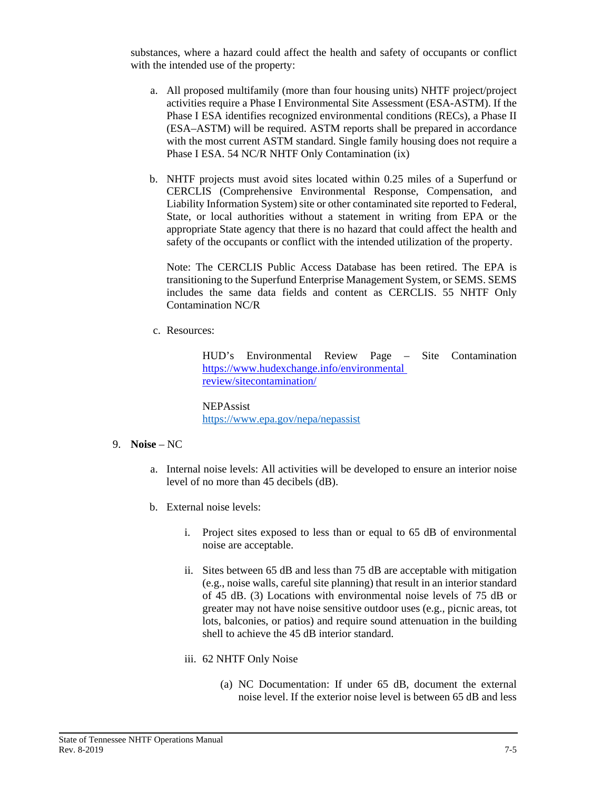substances, where a hazard could affect the health and safety of occupants or conflict with the intended use of the property:

- a. All proposed multifamily (more than four housing units) NHTF project/project activities require a Phase I Environmental Site Assessment (ESA-ASTM). If the Phase I ESA identifies recognized environmental conditions (RECs), a Phase II (ESA–ASTM) will be required. ASTM reports shall be prepared in accordance with the most current ASTM standard. Single family housing does not require a Phase I ESA. 54 NC/R NHTF Only Contamination (ix)
- b. NHTF projects must avoid sites located within 0.25 miles of a Superfund or CERCLIS (Comprehensive Environmental Response, Compensation, and Liability Information System) site or other contaminated site reported to Federal, State, or local authorities without a statement in writing from EPA or the appropriate State agency that there is no hazard that could affect the health and safety of the occupants or conflict with the intended utilization of the property.

Note: The CERCLIS Public Access Database has been retired. The EPA is transitioning to the Superfund Enterprise Management System, or SEMS. SEMS includes the same data fields and content as CERCLIS. 55 NHTF Only Contamination NC/R

c. Resources:

HUD's Environmental Review Page – Site Contamination [https://www.hudexchange.info/environmental](https://www.hudexchange.info/environmental%20review/sitecontamination/)  [review/sitecontamination/](https://www.hudexchange.info/environmental%20review/sitecontamination/)

NEPAssist <https://www.epa.gov/nepa/nepassist>

- 9. **Noise** NC
	- a. Internal noise levels: All activities will be developed to ensure an interior noise level of no more than 45 decibels (dB).
	- b. External noise levels:
		- i. Project sites exposed to less than or equal to 65 dB of environmental noise are acceptable.
		- ii. Sites between 65 dB and less than 75 dB are acceptable with mitigation (e.g., noise walls, careful site planning) that result in an interior standard of 45 dB. (3) Locations with environmental noise levels of 75 dB or greater may not have noise sensitive outdoor uses (e.g., picnic areas, tot lots, balconies, or patios) and require sound attenuation in the building shell to achieve the 45 dB interior standard.
		- iii. 62 NHTF Only Noise
			- (a) NC Documentation: If under 65 dB, document the external noise level. If the exterior noise level is between 65 dB and less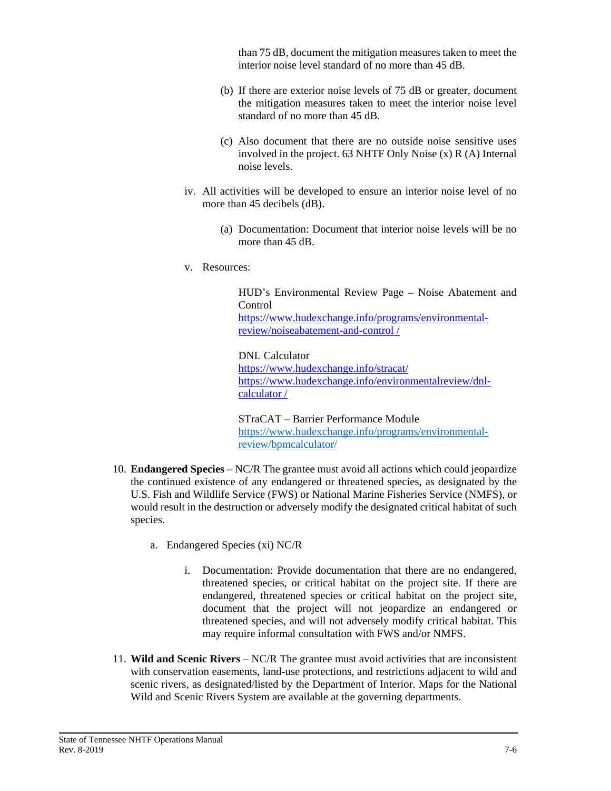than 75 dB, document the mitigation measures taken to meet the interior noise level standard of no more than 45 dB.

- (b) If there are exterior noise levels of 75 dB or greater, document the mitigation measures taken to meet the interior noise level standard of no more than 45 dB.
- (c) Also document that there are no outside noise sensitive uses involved in the project. 63 NHTF Only Noise (x) R (A) Internal noise levels.
- iv. All activities will be developed to ensure an interior noise level of no more than 45 decibels (dB).
	- (a) Documentation: Document that interior noise levels will be no more than 45 dB.
- v. Resources:

HUD's Environmental Review Page – Noise Abatement and Control [https://www.hudexchange.info/programs/environmental](https://www.hudexchange.info/programs/environmental-review/noiseabatement-and-control%20/)[review/noiseabatement-and-control /](https://www.hudexchange.info/programs/environmental-review/noiseabatement-and-control%20/)

DNL Calculator <https://www.hudexchange.info/stracat/> [https://www.hudexchange.info/environmentalreview/dnl](https://www.hudexchange.info/environmentalreview/dnl-calculator%20/)[calculator /](https://www.hudexchange.info/environmentalreview/dnl-calculator%20/)

STraCAT – Barrier Performance Module [https://www.hudexchange.info/programs/environmental](https://www.hudexchange.info/programs/environmental-review/bpmcalculator/)[review/bpmcalculator/](https://www.hudexchange.info/programs/environmental-review/bpmcalculator/)

- 10. **Endangered Species** NC/R The grantee must avoid all actions which could jeopardize the continued existence of any endangered or threatened species, as designated by the U.S. Fish and Wildlife Service (FWS) or National Marine Fisheries Service (NMFS), or would result in the destruction or adversely modify the designated critical habitat of such species.
	- a. Endangered Species (xi) NC/R
		- i. Documentation: Provide documentation that there are no endangered, threatened species, or critical habitat on the project site. If there are endangered, threatened species or critical habitat on the project site, document that the project will not jeopardize an endangered or threatened species, and will not adversely modify critical habitat. This may require informal consultation with FWS and/or NMFS.
- 11. **Wild and Scenic Rivers** NC/R The grantee must avoid activities that are inconsistent with conservation easements, land-use protections, and restrictions adjacent to wild and scenic rivers, as designated/listed by the Department of Interior. Maps for the National Wild and Scenic Rivers System are available at the governing departments.